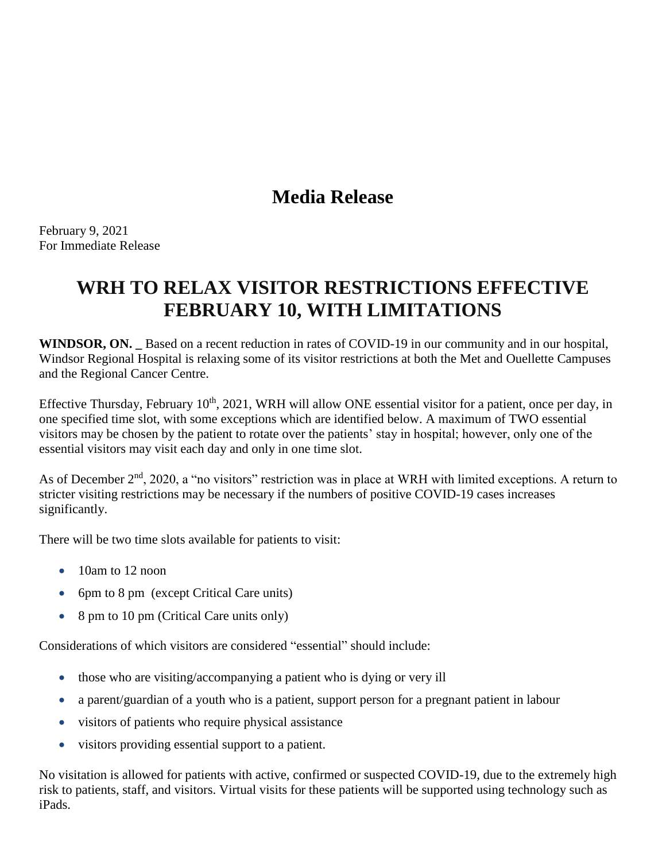## **Media Release**

February 9, 2021 For Immediate Release

# **WRH TO RELAX VISITOR RESTRICTIONS EFFECTIVE FEBRUARY 10, WITH LIMITATIONS**

**WINDSOR, ON. \_** Based on a recent reduction in rates of COVID-19 in our community and in our hospital, Windsor Regional Hospital is relaxing some of its visitor restrictions at both the Met and Ouellette Campuses and the Regional Cancer Centre.

Effective Thursday, February  $10<sup>th</sup>$ , 2021, WRH will allow ONE essential visitor for a patient, once per day, in one specified time slot, with some exceptions which are identified below. A maximum of TWO essential visitors may be chosen by the patient to rotate over the patients' stay in hospital; however, only one of the essential visitors may visit each day and only in one time slot.

As of December  $2<sup>nd</sup>$ , 2020, a "no visitors" restriction was in place at WRH with limited exceptions. A return to stricter visiting restrictions may be necessary if the numbers of positive COVID-19 cases increases significantly.

There will be two time slots available for patients to visit:

- $\bullet$  10am to 12 noon
- 6pm to 8 pm (except Critical Care units)
- 8 pm to 10 pm (Critical Care units only)

Considerations of which visitors are considered "essential" should include:

- those who are visiting/accompanying a patient who is dying or very ill
- a parent/guardian of a youth who is a patient, support person for a pregnant patient in labour
- visitors of patients who require physical assistance
- visitors providing essential support to a patient.

No visitation is allowed for patients with active, confirmed or suspected COVID-19, due to the extremely high risk to patients, staff, and visitors. Virtual visits for these patients will be supported using technology such as iPads.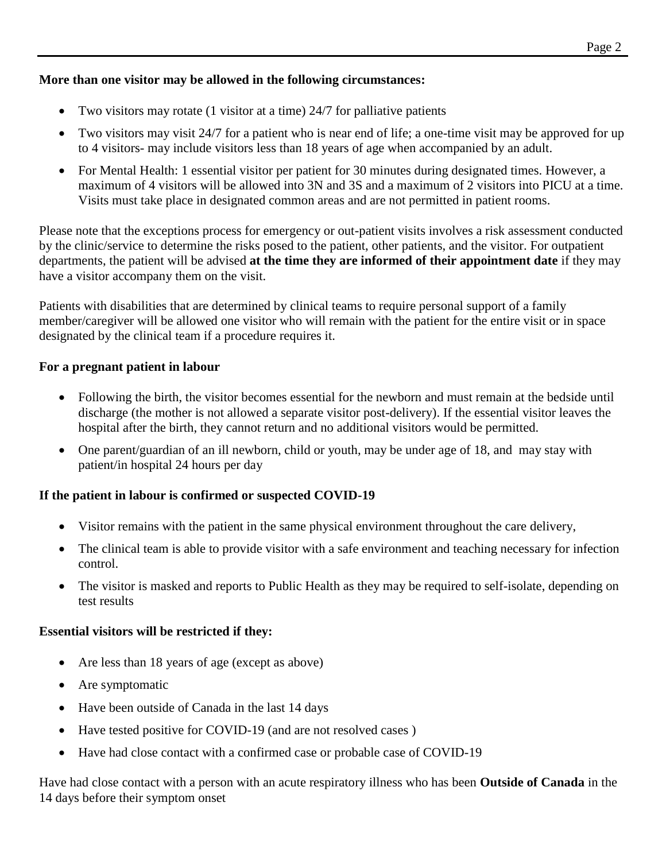## **More than one visitor may be allowed in the following circumstances:**

- Two visitors may rotate (1 visitor at a time) 24/7 for palliative patients
- Two visitors may visit 24/7 for a patient who is near end of life; a one-time visit may be approved for up to 4 visitors- may include visitors less than 18 years of age when accompanied by an adult.
- For Mental Health: 1 essential visitor per patient for 30 minutes during designated times. However, a maximum of 4 visitors will be allowed into 3N and 3S and a maximum of 2 visitors into PICU at a time. Visits must take place in designated common areas and are not permitted in patient rooms.

Please note that the exceptions process for emergency or out-patient visits involves a risk assessment conducted by the clinic/service to determine the risks posed to the patient, other patients, and the visitor. For outpatient departments, the patient will be advised **at the time they are informed of their appointment date** if they may have a visitor accompany them on the visit.

Patients with disabilities that are determined by clinical teams to require personal support of a family member/caregiver will be allowed one visitor who will remain with the patient for the entire visit or in space designated by the clinical team if a procedure requires it.

#### **For a pregnant patient in labour**

- Following the birth, the visitor becomes essential for the newborn and must remain at the bedside until discharge (the mother is not allowed a separate visitor post-delivery). If the essential visitor leaves the hospital after the birth, they cannot return and no additional visitors would be permitted.
- One parent/guardian of an ill newborn, child or youth, may be under age of 18, and may stay with patient/in hospital 24 hours per day

## **If the patient in labour is confirmed or suspected COVID-19**

- Visitor remains with the patient in the same physical environment throughout the care delivery,
- The clinical team is able to provide visitor with a safe environment and teaching necessary for infection control.
- The visitor is masked and reports to Public Health as they may be required to self-isolate, depending on test results

#### **Essential visitors will be restricted if they:**

- Are less than 18 years of age (except as above)
- Are symptomatic
- Have been outside of Canada in the last 14 days
- Have tested positive for COVID-19 (and are not resolved cases )
- Have had close contact with a confirmed case or probable case of COVID-19

Have had close contact with a person with an acute respiratory illness who has been **Outside of Canada** in the 14 days before their symptom onset